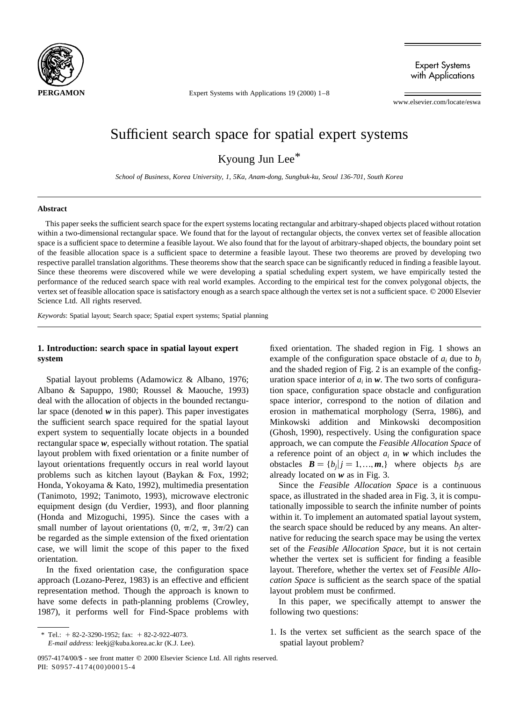

Expert Systems with Applications

Expert Systems with Applications 19 (2000) 1–8

www.elsevier.com/locate/eswa

# Sufficient search space for spatial expert systems

Kyoung Jun Lee\*

*School of Business, Korea University, 1, 5Ka, Anam-dong, Sungbuk-ku, Seoul 136-701, South Korea*

### **Abstract**

This paper seeks the sufficient search space for the expert systems locating rectangular and arbitrary-shaped objects placed without rotation within a two-dimensional rectangular space. We found that for the layout of rectangular objects, the convex vertex set of feasible allocation space is a sufficient space to determine a feasible layout. We also found that for the layout of arbitrary-shaped objects, the boundary point set of the feasible allocation space is a sufficient space to determine a feasible layout. These two theorems are proved by developing two respective parallel translation algorithms. These theorems show that the search space can be significantly reduced in finding a feasible layout. Since these theorems were discovered while we were developing a spatial scheduling expert system, we have empirically tested the performance of the reduced search space with real world examples. According to the empirical test for the convex polygonal objects, the vertex set of feasible allocation space is satisfactory enough as a search space although the vertex set is not a sufficient space.  $\heartsuit$  2000 Elsevier Science Ltd. All rights reserved.

*Keywords*: Spatial layout; Search space; Spatial expert systems; Spatial planning

## **1. Introduction: search space in spatial layout expert system**

Spatial layout problems (Adamowicz & Albano, 1976; Albano & Sapuppo, 1980; Roussel & Maouche, 1993) deal with the allocation of objects in the bounded rectangular space (denoted *w* in this paper). This paper investigates the sufficient search space required for the spatial layout expert system to sequentially locate objects in a bounded rectangular space *w*, especially without rotation. The spatial layout problem with fixed orientation or a finite number of layout orientations frequently occurs in real world layout problems such as kitchen layout (Baykan & Fox, 1992; Honda, Yokoyama & Kato, 1992), multimedia presentation (Tanimoto, 1992; Tanimoto, 1993), microwave electronic equipment design (du Verdier, 1993), and floor planning (Honda and Mizoguchi, 1995). Since the cases with a small number of layout orientations  $(0, \pi/2, \pi, 3\pi/2)$  can be regarded as the simple extension of the fixed orientation case, we will limit the scope of this paper to the fixed orientation.

In the fixed orientation case, the configuration space approach (Lozano-Perez, 1983) is an effective and efficient representation method. Though the approach is known to have some defects in path-planning problems (Crowley, 1987), it performs well for Find-Space problems with fixed orientation. The shaded region in Fig. 1 shows an example of the configuration space obstacle of  $a_i$  due to  $b_i$ and the shaded region of Fig. 2 is an example of the configuration space interior of  $a_i$  in  $w$ . The two sorts of configuration space, configuration space obstacle and configuration space interior, correspond to the notion of dilation and erosion in mathematical morphology (Serra, 1986), and Minkowski addition and Minkowski decomposition (Ghosh, 1990), respectively. Using the configuration space approach, we can compute the *Feasible Allocation Space* of a reference point of an object  $a_i$  in  $w$  which includes the obstacles  $\mathbf{B} = \{b_i | i = 1, ..., m\}$  where objects *b<sub>i</sub>s* are already located on *w* as in Fig. 3.

Since the *Feasible Allocation Space* is a continuous space, as illustrated in the shaded area in Fig. 3, it is computationally impossible to search the infinite number of points within it. To implement an automated spatial layout system, the search space should be reduced by any means. An alternative for reducing the search space may be using the vertex set of the *Feasible Allocation Space*, but it is not certain whether the vertex set is sufficient for finding a feasible layout. Therefore, whether the vertex set of *Feasible Allocation Space* is sufficient as the search space of the spatial layout problem must be confirmed.

In this paper, we specifically attempt to answer the following two questions:

1. Is the vertex set sufficient as the search space of the spatial layout problem?

<sup>\*</sup> Tel.:  $+ 82-2-3290-1952$ ; fax:  $+ 82-2-922-4073$ .

*E-mail address:* leekj@kuba.korea.ac.kr (K.J. Lee).

<sup>0957-4174/00/\$ -</sup> see front matter © 2000 Elsevier Science Ltd. All rights reserved. PII: S0957-4174(00)00015-4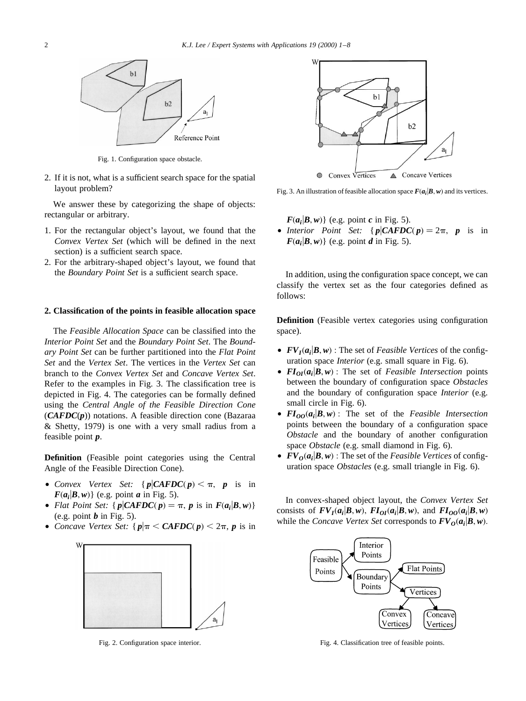

Fig. 1. Configuration space obstacle.

2. If it is not, what is a sufficient search space for the spatial layout problem?

We answer these by categorizing the shape of objects: rectangular or arbitrary.

- 1. For the rectangular object's layout, we found that the *Convex Vertex Set* (which will be defined in the next section) is a sufficient search space.
- 2. For the arbitrary-shaped object's layout, we found that the *Boundary Point Set* is a sufficient search space.

### **2. Classification of the points in feasible allocation space**

The *Feasible Allocation Space* can be classified into the *Interior Point Set* and the *Boundary Point Set*. The *Boundary Point Set* can be further partitioned into the *Flat Point Set* and the *Vertex Set*. The vertices in the *Vertex Set* can branch to the *Convex Vertex Set* and *Concave Vertex Set*. Refer to the examples in Fig. 3. The classification tree is depicted in Fig. 4. The categories can be formally defined using the *Central Angle of the Feasible Direction Cone* (*CAFDC*(*p*)) notations. A feasible direction cone (Bazaraa & Shetty, 1979) is one with a very small radius from a feasible point *p*.

**Definition** (Feasible point categories using the Central Angle of the Feasible Direction Cone).

- *Convex Vertex Set:*  $\{p \mid CAFDC(p) \leq \pi, p \text{ is in } \}$  $F(a_i|B,w)$  (e.g. point *a* in Fig. 5).
- *Flat Point Set:*  $\{p \mid CAFDC(p) = \pi, p \text{ is in } F(a_i|B,w)\}$ (e.g. point  $\boldsymbol{b}$  in Fig. 5).
- *Concave Vertex Set:*  $\{p | \pi \leq \mathit{CAFDC}(p) \leq 2\pi, p \text{ is in } \}$



Fig. 2. Configuration space interior.



Fig. 3. An illustration of feasible allocation space  $F(a_i|B, w)$  and its vertices.

 $F(a_i|B,w)$  (e.g. point *c* in Fig. 5). • *Interior Point Set:*  $\{p \mid CAFDC(p) = 2\pi, p \text{ is in } \}$  $F(a_i|B,w)$  (e.g. point *d* in Fig. 5).

In addition, using the configuration space concept, we can classify the vertex set as the four categories defined as follows:

**Definition** (Feasible vertex categories using configuration space).

- $FV_I(a_i|B,w)$ : The set of *Feasible Vertices* of the configuration space *Interior* (e.g. small square in Fig. 6).
- $FI_{OI}(a_i|B,w)$ : The set of *Feasible Intersection* points between the boundary of configuration space *Obstacles* and the boundary of configuration space *Interior* (e.g. small circle in Fig. 6).
- $FI_{OO}(a_i|B,w)$ : The set of the *Feasible Intersection* points between the boundary of a configuration space *Obstacle* and the boundary of another configuration space *Obstacle* (e.g. small diamond in Fig. 6).
- $FV_0(a_i|B,w)$ : The set of the *Feasible Vertices* of configuration space *Obstacles* (e.g. small triangle in Fig. 6).

In convex-shaped object layout, the *Convex Vertex Set* consists of  $FV_I(a_i|B,w)$ ,  $FI_{OI}(a_i|B,w)$ , and  $FI_{OO}(a_i|B,w)$ while the *Concave Vertex Set* corresponds to  $FV_0(a_i|B,w)$ .



Fig. 4. Classification tree of feasible points.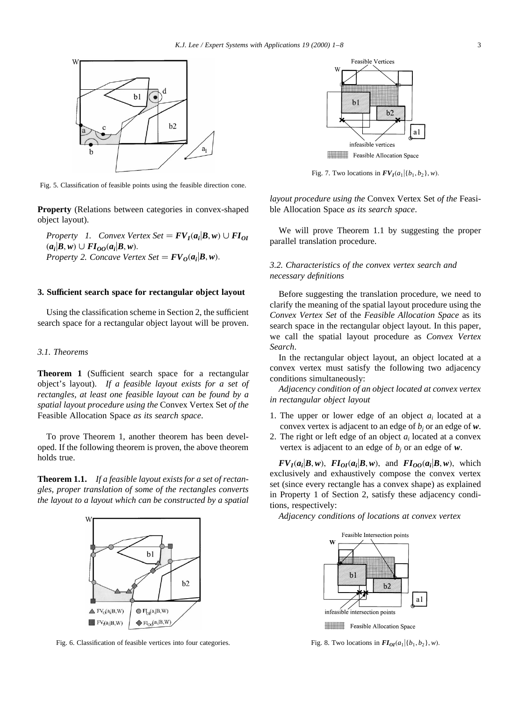

Fig. 5. Classification of feasible points using the feasible direction cone.

**Property** (Relations between categories in convex-shaped object layout).

*Property 1. Convex Vertex Set* =  $FV_I(a_i|B, w) \cup FI_{OI}$  $(a_i|B,w) \cup FI_{OO}(a_i|B,w).$ *Property 2. Concave Vertex Set* =  $FV_0(a_i|B,w)$ .

## **3. Sufficient search space for rectangular object layout**

Using the classification scheme in Section 2, the sufficient search space for a rectangular object layout will be proven.

## *3.1. Theorems*

**Theorem 1** (Sufficient search space for a rectangular object's layout). *If a feasible layout exists for a set of rectangles, at least one feasible layout can be found by a spatial layout procedure using the* Convex Vertex Set *of the* Feasible Allocation Space *as its search space*.

To prove Theorem 1, another theorem has been developed. If the following theorem is proven, the above theorem holds true.

**Theorem 1.1.** *If a feasible layout exists for a set of rectangles, proper translation of some of the rectangles converts the layout to a layout which can be constructed by a spatial*



Fig. 6. Classification of feasible vertices into four categories.



Feasible Allocation Space

Fig. 7. Two locations in  $FV_I(a_1|\{b_1, b_2\}, w)$ .

*layout procedure using the* Convex Vertex Set *of the* Feasible Allocation Space *as its search space*.

We will prove Theorem 1.1 by suggesting the proper parallel translation procedure.

# *3.2. Characteristics of the convex vertex search and necessary definitions*

Before suggesting the translation procedure, we need to clarify the meaning of the spatial layout procedure using the *Convex Vertex Set* of the *Feasible Allocation Space* as its search space in the rectangular object layout. In this paper, we call the spatial layout procedure as *Convex Vertex Search*.

In the rectangular object layout, an object located at a convex vertex must satisfy the following two adjacency conditions simultaneously:

*Adjacency condition of an object located at convex vertex in rectangular object layout*

- 1. The upper or lower edge of an object *ai* located at a convex vertex is adjacent to an edge of  $b_i$  or an edge of  $w$ .
- 2. The right or left edge of an object *ai* located at a convex vertex is adjacent to an edge of  $b_j$  or an edge of  $w$ .

 $FV_I(a_i|B,w)$ ,  $FI_{OI}(a_i|B,w)$ , and  $FI_{OO}(a_i|B,w)$ , which exclusively and exhaustively compose the convex vertex set (since every rectangle has a convex shape) as explained in Property 1 of Section 2, satisfy these adjacency conditions, respectively:

*Adjacency conditions of locations at convex vertex*



Fig. 8. Two locations in  $FI_{OI}(a_1|\{b_1, b_2\}, w)$ .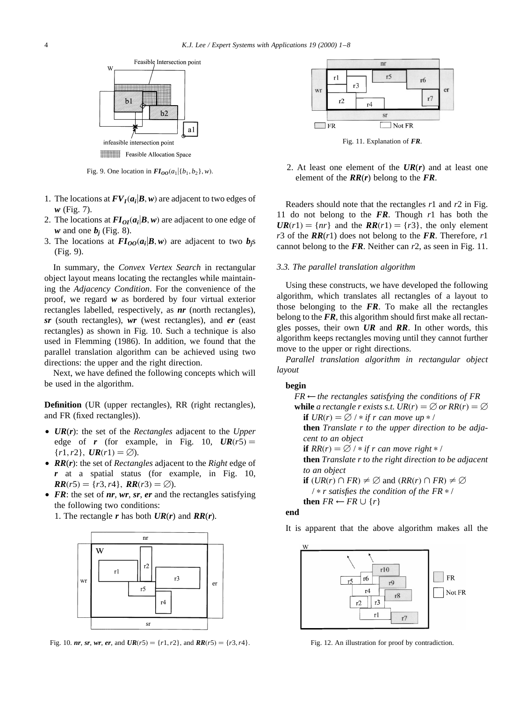

Fig. 9. One location in  $FI_{OO}(a_1 | \{b_1, b_2\}, w)$ .

- 1. The locations at  $FV_I(a_i|B, w)$  are adjacent to two edges of *w* (Fig. 7).
- 2. The locations at  $FI_{OI}(a_i|B, w)$  are adjacent to one edge of *w* and one  $b_i$  (Fig. 8).
- 3. The locations at  $FI_{OO}(a_i|B,w)$  are adjacent to two  $b_i$ s (Fig. 9).

In summary, the *Convex Vertex Search* in rectangular object layout means locating the rectangles while maintaining the *Adjacency Condition*. For the convenience of the proof, we regard *w* as bordered by four virtual exterior rectangles labelled, respectively, as *nr* (north rectangles), *sr* (south rectangles), *wr* (west rectangles), and *er* (east rectangles) as shown in Fig. 10. Such a technique is also used in Flemming (1986). In addition, we found that the parallel translation algorithm can be achieved using two directions: the upper and the right direction.

Next, we have defined the following concepts which will be used in the algorithm.

**Definition** (UR (upper rectangles), RR (right rectangles), and FR (fixed rectangles)).

- *UR*(*r*): the set of the *Rectangles* adjacent to the *Upper* edge of **r** (for example, in Fig. 10,  $UR(r5) =$  ${r1, r2}, \, \textit{UR}(r1) = \emptyset.$
- *RR*(*r*): the set of *Rectangles* adjacent to the *Right* edge of *r* at a spatial status (for example, in Fig. 10,  $RR(r5) = \{r3, r4\}, RR(r3) = \emptyset$ .
- *FR*: the set of *nr*, *wr*, *sr*, *er* and the rectangles satisfying the following two conditions:
	- 1. The rectangle *r* has both *UR*(*r*) and *RR*(*r*).



Fig. 10. *nr*, *sr*, *wr*, *er*, and  $UR(r5) = \{r1, r2\}$ , and  $RR(r5) = \{r3, r4\}$ .



Fig. 11. Explanation of *FR*.

2. At least one element of the *UR*(*r*) and at least one element of the *RR*(*r*) belong to the *FR*.

Readers should note that the rectangles *r*1 and *r*2 in Fig. 11 do not belong to the *FR*. Though *r*1 has both the  $UR(r1) = \{ nr \}$  and the  $RR(r1) = \{ r3 \}$ , the only element *r*3 of the *RR*(*r*1) does not belong to the *FR*. Therefore, *r*1 cannot belong to the *FR*. Neither can *r*2, as seen in Fig. 11.

### *3.3. The parallel translation algorithm*

Using these constructs, we have developed the following algorithm, which translates all rectangles of a layout to those belonging to the *FR*. To make all the rectangles belong to the *FR*, this algorithm should first make all rectangles posses, their own *UR* and *RR*. In other words, this algorithm keeps rectangles moving until they cannot further move to the upper or right directions.

*Parallel translation algorithm in rectangular object layout*

#### **begin**

 $FR \leftarrow$  *the rectangles satisfying the conditions of FR* **while** *a rectangle r exists s.t.*  $UR(r) = \emptyset$  *or*  $RR(r) = \emptyset$ **if**  $UR(r) = \emptyset$  /  $*$  *if r can move up*  $*$  / **then** *Translate r to the upper direction to be adjacent to an object* **if**  $RR(r) = \emptyset$  /  $*$  *if r can move right*  $*$  / **then** *Translate r to the right direction to be adjacent to an object* **if**  $(UR(r) \cap FR) \neq \emptyset$  and  $(RR(r) \cap FR) \neq \emptyset$  $\frac{1}{2}$  *r satisfies the condition of the FR*  $\frac{1}{2}$  */* **then**  $FR \leftarrow FR \cup \{r\}$ 

#### **end**

It is apparent that the above algorithm makes all the



Fig. 12. An illustration for proof by contradiction.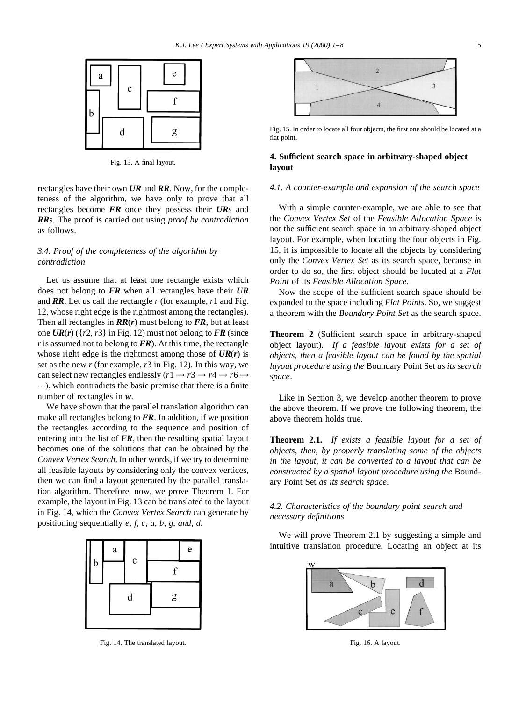

Fig. 13. A final layout.

rectangles have their own *UR* and *RR*. Now, for the completeness of the algorithm, we have only to prove that all rectangles become *FR* once they possess their *UR*s and *RR*s. The proof is carried out using *proof by contradiction* as follows.

## *3.4. Proof of the completeness of the algorithm by contradiction*

Let us assume that at least one rectangle exists which does not belong to *FR* when all rectangles have their *UR* and *RR*. Let us call the rectangle *r* (for example, *r*1 and Fig. 12, whose right edge is the rightmost among the rectangles). Then all rectangles in *RR*(*r*) must belong to *FR*, but at least one  $UR(r)$  ( $\{r2, r3\}$  in Fig. 12) must not belong to FR (since *r* is assumed not to belong to *FR*). At this time, the rectangle whose right edge is the rightmost among those of *UR*(*r*) is set as the new *r* (for example, *r*3 in Fig. 12). In this way, we can select new rectangles endlessly  $(r1 \rightarrow r3 \rightarrow r4 \rightarrow r6 \rightarrow \cdots)$ , which contradicts the basic premise that there is a finite number of rectangles in *w*.

We have shown that the parallel translation algorithm can make all rectangles belong to *FR*. In addition, if we position the rectangles according to the sequence and position of entering into the list of *FR*, then the resulting spatial layout becomes one of the solutions that can be obtained by the *Convex Vertex Search*. In other words, if we try to determine all feasible layouts by considering only the convex vertices, then we can find a layout generated by the parallel translation algorithm. Therefore, now, we prove Theorem 1. For example, the layout in Fig. 13 can be translated to the layout in Fig. 14, which the *Convex Vertex Search* can generate by positioning sequentially *e*, *f*, *c*, *a*, *b*, *g*, *and*, *d*.



Fig. 14. The translated layout.



Fig. 15. In order to locate all four objects, the first one should be located at a flat point.

# **4. Sufficient search space in arbitrary-shaped object layout**

#### *4.1. A counter-example and expansion of the search space*

With a simple counter-example, we are able to see that the *Convex Vertex Set* of the *Feasible Allocation Space* is not the sufficient search space in an arbitrary-shaped object layout. For example, when locating the four objects in Fig. 15, it is impossible to locate all the objects by considering only the *Convex Vertex Set* as its search space, because in order to do so, the first object should be located at a *Flat Point* of its *Feasible Allocation Space*.

Now the scope of the sufficient search space should be expanded to the space including *Flat Points*. So, we suggest a theorem with the *Boundary Point Set* as the search space.

**Theorem 2** (Sufficient search space in arbitrary-shaped object layout). *If a feasible layout exists for a set of objects, then a feasible layout can be found by the spatial layout procedure using the* Boundary Point Set *as its search space*.

Like in Section 3, we develop another theorem to prove the above theorem. If we prove the following theorem, the above theorem holds true.

**Theorem 2.1.** *If exists a feasible layout for a set of objects, then, by properly translating some of the objects in the layout, it can be converted to a layout that can be constructed by a spatial layout procedure using the* Boundary Point Set *as its search space*.

# *4.2. Characteristics of the boundary point search and necessary definitions*

We will prove Theorem 2.1 by suggesting a simple and intuitive translation procedure. Locating an object at its



Fig. 16. A layout.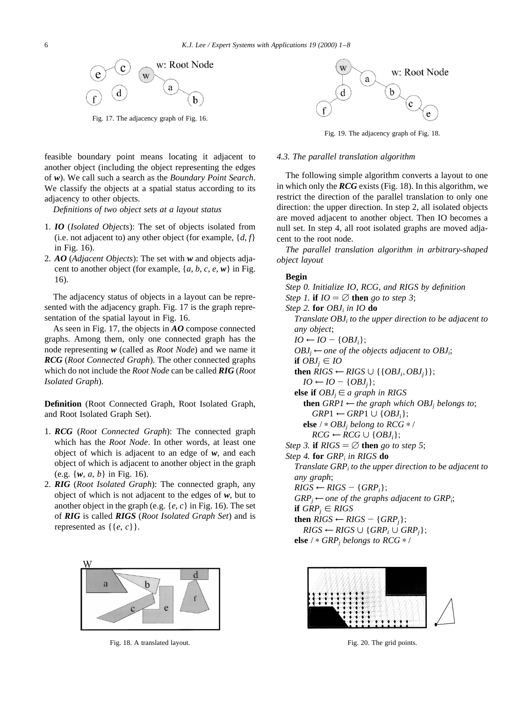

Fig. 17. The adjacency graph of Fig. 16.

feasible boundary point means locating it adjacent to another object (including the object representing the edges of *w*). We call such a search as the *Boundary Point Search*. We classify the objects at a spatial status according to its adjacency to other objects.

*Definitions of two object sets at a layout status*

- 1. *IO* (*Isolated Objects*): The set of objects isolated from (i.e. not adjacent to) any other object (for example,  $\{d, f\}$ in Fig. 16).
- 2. *AO* (*Adjacent Objects*): The set with *w* and objects adjacent to another object (for example, {*a*, *b*, *c*, *e*, *w*} in Fig. 16).

The adjacency status of objects in a layout can be represented with the adjacency graph. Fig. 17 is the graph representation of the spatial layout in Fig. 16.

As seen in Fig. 17, the objects in *AO* compose connected graphs. Among them, only one connected graph has the node representing *w* (called as *Root Node*) and we name it *RCG* (*Root Connected Graph*). The other connected graphs which do not include the *Root Node* can be called *RIG* (*Root Isolated Graph*).

**Definition** (Root Connected Graph, Root Isolated Graph, and Root Isolated Graph Set).

- 1. *RCG* (*Root Connected Graph*): The connected graph which has the *Root Node*. In other words, at least one object of which is adjacent to an edge of *w*, and each object of which is adjacent to another object in the graph (e.g. {*w*, *a*, *b*} in Fig. 16).
- 2. *RIG* (*Root Isolated Graph*): The connected graph, any object of which is not adjacent to the edges of *w*, but to another object in the graph (e.g. {*e*, *c*} in Fig. 16). The set of *RIG* is called *RIGS* (*Root Isolated Graph Set*) and is represented as  $\{\{e, c\}\}.$



Fig. 18. A translated layout.



Fig. 19. The adjacency graph of Fig. 18.

### *4.3. The parallel translation algorithm*

The following simple algorithm converts a layout to one in which only the *RCG* exists (Fig. 18). In this algorithm, we restrict the direction of the parallel translation to only one direction: the upper direction. In step 2, all isolated objects are moved adjacent to another object. Then IO becomes a null set. In step 4, all root isolated graphs are moved adjacent to the root node.

*The parallel translation algorithm in arbitrary-shaped object layout*

#### **Begin**

*Step 0. Initialize IO, RCG, and RIGS by definition Step 1.* **if**  $IO = \emptyset$  **then** *go to step 3*; *Step 2.* **for** *OBJi in IO* **do** *Translate OBJi to the upper direction to be adjacent to any object*;  $IO \leftarrow IO - \{OBJ_i\};$  $OBJ_i \leftarrow$  *one of the objects adjacent to OBJ<sub>i</sub>*; **if**  $OBJ_i \in IO$ **then**  $RIGS$  ←  $RIGS$  ∪ {{ $OBJ_i$ ,  $OBJ_i$ }};  $IO \leftarrow IO - \{OBJ_i\};$ **else if**  $OBJ_i \in a$  graph in RIGS **then**  $GRPI \leftarrow$  *the graph which OBJ<sub>i</sub> belongs to*;  $GRP1 \leftarrow GRP1 \cup \{OBJ_i\};$ **else** /  $*$  *OBJ<sub>i</sub> belong to RCG*  $*$  /  $RCG \leftarrow RCG \cup \{OBJ_i\};$ *Step 3.* **if**  $RIGS = \emptyset$  **then** *go to step 5*; *Step 4.* **for** *GRPi in RIGS* **do** *Translate GRPi to the upper direction to be adjacent to any graph*;  $RIGS \leftarrow RIGS - \{GRP_i\};$  $GRP_i \leftarrow$  *one of the graphs adjacent to GRP<sub>i</sub>*; **if**  $GRP_i \in RIGS$ **then**  $RIGS$  ←  $RIGS$  –  ${GRP<sub>i</sub>};$  $RIGS \leftarrow RIGS \cup \{GRP_i \cup GRP_i\};$ **else** /  $*$  *GRP<sub>i</sub> belongs to RCG*  $*$  /



Fig. 20. The grid points.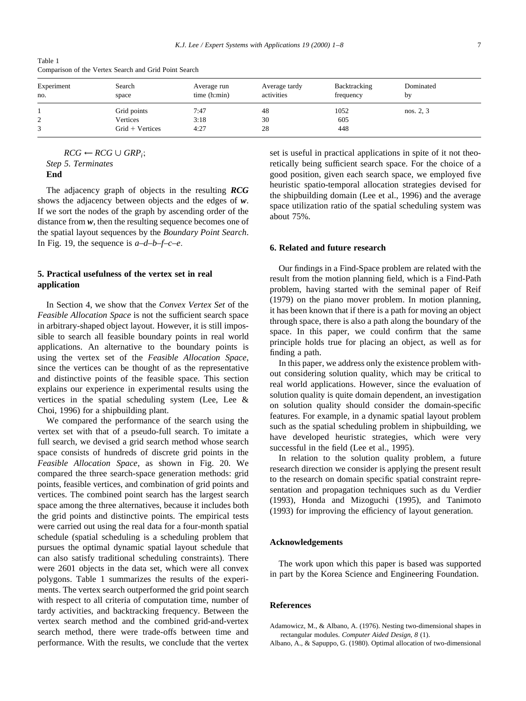Table 1 Comparison of the Vertex Search and Grid Point Search

| Experiment<br>no. | Search<br>space   | Average run<br>time (h: min) | Average tardy<br>activities | Backtracking<br>frequency | Dominated<br>by |
|-------------------|-------------------|------------------------------|-----------------------------|---------------------------|-----------------|
|                   | Grid points       | 7:47                         | 48                          | 1052                      | nos. 2, 3       |
| 2                 | Vertices          | 3:18                         | 30                          | 605                       |                 |
|                   | $Grid + Vertices$ | 4:27                         | 28                          | 448                       |                 |

 $RCG \leftarrow RCG \cup GRP_i;$ *Step 5. Terminates* **End**

The adjacency graph of objects in the resulting *RCG* shows the adjacency between objects and the edges of *w*. If we sort the nodes of the graph by ascending order of the distance from w, then the resulting sequence becomes one of the spatial layout sequences by the *Boundary Point Search*. In Fig. 19, the sequence is *a–d–b–f–c–e*:

# **5. Practical usefulness of the vertex set in real application**

In Section 4, we show that the *Convex Vertex Set* of the *Feasible Allocation Space* is not the sufficient search space in arbitrary-shaped object layout. However, it is still impossible to search all feasible boundary points in real world applications. An alternative to the boundary points is using the vertex set of the *Feasible Allocation Space*, since the vertices can be thought of as the representative and distinctive points of the feasible space. This section explains our experience in experimental results using the vertices in the spatial scheduling system (Lee, Lee & Choi, 1996) for a shipbuilding plant.

We compared the performance of the search using the vertex set with that of a pseudo-full search. To imitate a full search, we devised a grid search method whose search space consists of hundreds of discrete grid points in the *Feasible Allocation Space*, as shown in Fig. 20. We compared the three search-space generation methods: grid points, feasible vertices, and combination of grid points and vertices. The combined point search has the largest search space among the three alternatives, because it includes both the grid points and distinctive points. The empirical tests were carried out using the real data for a four-month spatial schedule (spatial scheduling is a scheduling problem that pursues the optimal dynamic spatial layout schedule that can also satisfy traditional scheduling constraints). There were 2601 objects in the data set, which were all convex polygons. Table 1 summarizes the results of the experiments. The vertex search outperformed the grid point search with respect to all criteria of computation time, number of tardy activities, and backtracking frequency. Between the vertex search method and the combined grid-and-vertex search method, there were trade-offs between time and performance. With the results, we conclude that the vertex

set is useful in practical applications in spite of it not theoretically being sufficient search space. For the choice of a good position, given each search space, we employed five heuristic spatio-temporal allocation strategies devised for the shipbuilding domain (Lee et al., 1996) and the average space utilization ratio of the spatial scheduling system was about 75%.

## **6. Related and future research**

Our findings in a Find-Space problem are related with the result from the motion planning field, which is a Find-Path problem, having started with the seminal paper of Reif (1979) on the piano mover problem. In motion planning, it has been known that if there is a path for moving an object through space, there is also a path along the boundary of the space. In this paper, we could confirm that the same principle holds true for placing an object, as well as for finding a path.

In this paper, we address only the existence problem without considering solution quality, which may be critical to real world applications. However, since the evaluation of solution quality is quite domain dependent, an investigation on solution quality should consider the domain-specific features. For example, in a dynamic spatial layout problem such as the spatial scheduling problem in shipbuilding, we have developed heuristic strategies, which were very successful in the field (Lee et al., 1995).

In relation to the solution quality problem, a future research direction we consider is applying the present result to the research on domain specific spatial constraint representation and propagation techniques such as du Verdier (1993), Honda and Mizoguchi (1995), and Tanimoto (1993) for improving the efficiency of layout generation.

#### **Acknowledgements**

The work upon which this paper is based was supported in part by the Korea Science and Engineering Foundation.

## **References**

Adamowicz, M., & Albano, A. (1976). Nesting two-dimensional shapes in rectangular modules. *Computer Aided Design*, *8* (1).

Albano, A., & Sapuppo, G. (1980). Optimal allocation of two-dimensional